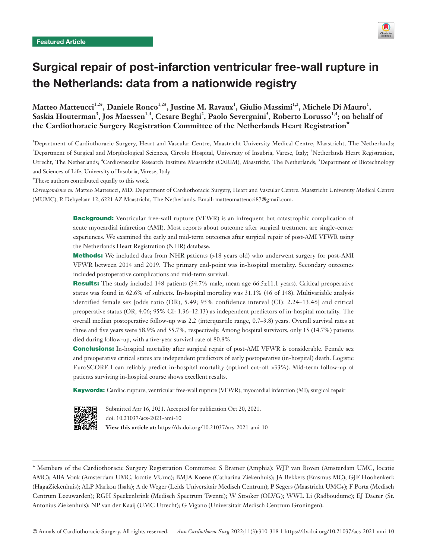

# Surgical repair of post-infarction ventricular free-wall rupture in the Netherlands: data from a nationwide registry

Matteo Matteucci<sup>1,2#</sup>, Daniele Ronco<sup>1,2#</sup>, Justine M. Ravaux<sup>1</sup>, Giulio Massimi<sup>1,2</sup>, Michele Di Mauro<sup>1</sup>, Saskia Houterman<sup>3</sup>, Jos Maessen<sup>1,4</sup>, Cesare Beghi<sup>2</sup>, Paolo Severgnini<sup>5</sup>, Roberto Lorusso<sup>1,4</sup>; on behalf of **the Cardiothoracic Surgery Registration Committee of the Netherlands Heart Registration\***

1 Department of Cardiothoracic Surgery, Heart and Vascular Centre, Maastricht University Medical Centre, Maastricht, The Netherlands; <sup>2</sup>Department of Surgical and Morphological Sciences, Circolo Hospital, University of Insubria, Varese, Italy; <sup>3</sup>Netherlands Heart Registration, Utrecht, The Netherlands; <sup>4</sup>Cardiovascular Research Institute Maastricht (CARIM), Maastricht, The Netherlands; <sup>5</sup>Department of Biotechnology and Sciences of Life, University of Insubria, Varese, Italy

# These authors contributed equally to this work.

*Correspondence to:* Matteo Matteucci, MD. Department of Cardiothoracic Surgery, Heart and Vascular Centre, Maastricht University Medical Centre (MUMC), P. Debyelaan 12, 6221 AZ Maastricht, The Netherlands. Email: matteomatteucci87@gmail.com.

> **Background:** Ventricular free-wall rupture (VFWR) is an infrequent but catastrophic complication of acute myocardial infarction (AMI). Most reports about outcome after surgical treatment are single-center experiences. We examined the early and mid-term outcomes after surgical repair of post-AMI VFWR using the Netherlands Heart Registration (NHR) database.

> **Methods:** We included data from NHR patients (>18 years old) who underwent surgery for post-AMI VFWR between 2014 and 2019. The primary end-point was in-hospital mortality. Secondary outcomes included postoperative complications and mid-term survival.

> Results: The study included 148 patients (54.7% male, mean age 66.5±11.1 years). Critical preoperative status was found in 62.6% of subjects. In-hospital mortality was 31.1% (46 of 148). Multivariable analysis identified female sex [odds ratio (OR), 5.49; 95% confidence interval (CI): 2.24–13.46] and critical preoperative status (OR, 4.06; 95% CI: 1.36–12.13) as independent predictors of in-hospital mortality. The overall median postoperative follow-up was 2.2 (interquartile range, 0.7–3.8) years. Overall survival rates at three and five years were 58.9% and 55.7%, respectively. Among hospital survivors, only 15 (14.7%) patients died during follow-up, with a five-year survival rate of 80.8%.

> **Conclusions:** In-hospital mortality after surgical repair of post-AMI VFWR is considerable. Female sex and preoperative critical status are independent predictors of early postoperative (in-hospital) death. Logistic EuroSCORE I can reliably predict in-hospital mortality (optimal cut-off >33%). Mid-term follow-up of patients surviving in-hospital course shows excellent results.

Keywords: Cardiac rupture; ventricular free-wall rupture (VFWR); myocardial infarction (MI); surgical repair



Submitted Apr 16, 2021. Accepted for publication Oct 20, 2021. doi: 10.21037/acs-2021-ami-10 **View this article at:** https://dx.doi.org/10.21037/acs-2021-ami-10

<sup>\*</sup> Members of the Cardiothoracic Surgery Registration Committee: S Bramer (Amphia); WJP van Boven (Amsterdam UMC, locatie AMC); ABA Vonk (Amsterdam UMC, locatie VUmc); BMJA Koene (Catharina Ziekenhuis); JA Bekkers (Erasmus MC); GJF Hoohenkerk (HagaZiekenhuis); ALP Markou (Isala); A de Weger (Leids Universitair Medisch Centrum); P Segers (Maastricht UMC+); F Porta (Medisch Centrum Leeuwarden); RGH Speekenbrink (Medisch Spectrum Twente); W Stooker (OLVG); WWL Li (Radboudumc); EJ Daeter (St. Antonius Ziekenhuis); NP van der Kaaij (UMC Utrecht); G Vigano (Universitair Medisch Centrum Groningen).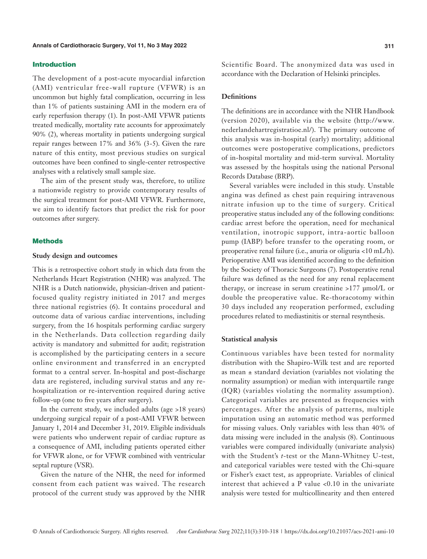#### Introduction

The development of a post-acute myocardial infarction (AMI) ventricular free-wall rupture (VFWR) is an uncommon but highly fatal complication, occurring in less than 1% of patients sustaining AMI in the modern era of early reperfusion therapy (1). In post-AMI VFWR patients treated medically, mortality rate accounts for approximately 90% (2), whereas mortality in patients undergoing surgical repair ranges between 17% and 36% (3-5). Given the rare nature of this entity, most previous studies on surgical outcomes have been confined to single-center retrospective analyses with a relatively small sample size.

The aim of the present study was, therefore, to utilize a nationwide registry to provide contemporary results of the surgical treatment for post-AMI VFWR. Furthermore, we aim to identify factors that predict the risk for poor outcomes after surgery.

#### **Methods**

#### **Study design and outcomes**

This is a retrospective cohort study in which data from the Netherlands Heart Registration (NHR) was analyzed. The NHR is a Dutch nationwide, physician-driven and patientfocused quality registry initiated in 2017 and merges three national registries (6). It contains procedural and outcome data of various cardiac interventions, including surgery, from the 16 hospitals performing cardiac surgery in the Netherlands. Data collection regarding daily activity is mandatory and submitted for audit; registration is accomplished by the participating centers in a secure online environment and transferred in an encrypted format to a central server. In-hospital and post-discharge data are registered, including survival status and any rehospitalization or re-intervention required during active follow-up (one to five years after surgery).

In the current study, we included adults (age >18 years) undergoing surgical repair of a post-AMI VFWR between January 1, 2014 and December 31, 2019. Eligible individuals were patients who underwent repair of cardiac rupture as a consequence of AMI, including patients operated either for VFWR alone, or for VFWR combined with ventricular septal rupture (VSR).

Given the nature of the NHR, the need for informed consent from each patient was waived. The research protocol of the current study was approved by the NHR

Scientific Board. The anonymized data was used in accordance with the Declaration of Helsinki principles.

#### **Definitions**

The definitions are in accordance with the NHR Handbook (version 2020), available via the website ([http://www.](http://www.nederlandehartregistratioe.nl/) [nederlandehartregistratioe.nl/\)](http://www.nederlandehartregistratioe.nl/). The primary outcome of this analysis was in-hospital (early) mortality; additional outcomes were postoperative complications, predictors of in-hospital mortality and mid-term survival. Mortality was assessed by the hospitals using the national Personal Records Database (BRP).

Several variables were included in this study. Unstable angina was defined as chest pain requiring intravenous nitrate infusion up to the time of surgery. Critical preoperative status included any of the following conditions: cardiac arrest before the operation, need for mechanical ventilation, inotropic support, intra-aortic balloon pump (IABP) before transfer to the operating room, or preoperative renal failure (i.e., anuria or oliguria <10 mL/h). Perioperative AMI was identified according to the definition by the Society of Thoracic Surgeons (7). Postoperative renal failure was defined as the need for any renal replacement therapy, or increase in serum creatinine >177 μmol/L or double the preoperative value. Re-thoracotomy within 30 days included any reoperation performed, excluding procedures related to mediastinitis or sternal resynthesis.

#### **Statistical analysis**

Continuous variables have been tested for normality distribution with the Shapiro-Wilk test and are reported as mean ± standard deviation (variables not violating the normality assumption) or median with interquartile range (IQR) (variables violating the normality assumption). Categorical variables are presented as frequencies with percentages. After the analysis of patterns, multiple imputation using an automatic method was performed for missing values. Only variables with less than 40% of data missing were included in the analysis (8). Continuous variables were compared individually (univariate analysis) with the Student's *t*-test or the Mann-Whitney U-test, and categorical variables were tested with the Chi-square or Fisher's exact test, as appropriate. Variables of clinical interest that achieved a P value <0.10 in the univariate analysis were tested for multicollinearity and then entered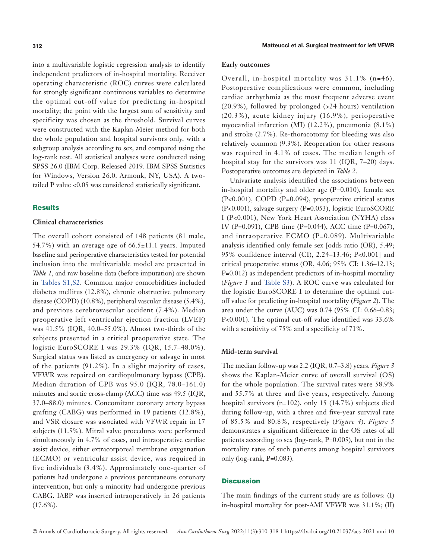into a multivariable logistic regression analysis to identify independent predictors of in-hospital mortality. Receiver operating characteristic (ROC) curves were calculated for strongly significant continuous variables to determine the optimal cut-off value for predicting in-hospital mortality; the point with the largest sum of sensitivity and specificity was chosen as the threshold. Survival curves were constructed with the Kaplan-Meier method for both the whole population and hospital survivors only, with a subgroup analysis according to sex, and compared using the log-rank test. All statistical analyses were conducted using SPSS 26.0 (IBM Corp. Released 2019. IBM SPSS Statistics for Windows, Version 26.0. Armonk, NY, USA). A twotailed P value <0.05 was considered statistically significant.

#### **Results**

#### **Clinical characteristics**

The overall cohort consisted of 148 patients (81 male, 54.7%) with an average age of 66.5±11.1 years. Imputed baseline and perioperative characteristics tested for potential inclusion into the multivariable model are presented in *Table 1,* and raw baseline data (before imputation) are shown in [Tables S1,S2.](https://cdn.amegroups.cn/static/public/ACS-2021-AMI-10-Supplementary.pdf) Common major comorbidities included diabetes mellitus (12.8%), chronic obstructive pulmonary disease (COPD) (10.8%), peripheral vascular disease (5.4%), and previous cerebrovascular accident (7.4%). Median preoperative left ventricular ejection fraction (LVEF) was 41.5% (IQR, 40.0–55.0%). Almost two-thirds of the subjects presented in a critical preoperative state. The logistic EuroSCORE I was 29.3% (IQR, 15.7–48.0%). Surgical status was listed as emergency or salvage in most of the patients (91.2%). In a slight majority of cases, VFWR was repaired on cardiopulmonary bypass (CPB). Median duration of CPB was 95.0 (IQR, 78.0–161.0) minutes and aortic cross-clamp (ACC) time was 49.5 (IQR, 37.0–88.0) minutes. Concomitant coronary artery bypass grafting (CABG) was performed in 19 patients (12.8%), and VSR closure was associated with VFWR repair in 17 subjects (11.5%). Mitral valve procedures were performed simultaneously in 4.7% of cases, and intraoperative cardiac assist device, either extracorporeal membrane oxygenation (ECMO) or ventricular assist device, was required in five individuals (3.4%). Approximately one-quarter of patients had undergone a previous percutaneous coronary intervention, but only a minority had undergone previous CABG. IABP was inserted intraoperatively in 26 patients (17.6%).

#### **Early outcomes**

Overall, in-hospital mortality was 31.1% (n=46). Postoperative complications were common, including cardiac arrhythmia as the most frequent adverse event (20.9%), followed by prolonged (>24 hours) ventilation (20.3%), acute kidney injury (16.9%), perioperative myocardial infarction (MI) (12.2%), pneumonia (8.1%) and stroke (2.7%). Re-thoracotomy for bleeding was also relatively common (9.3%). Reoperation for other reasons was required in 4.1% of cases. The median length of hospital stay for the survivors was 11 (IQR, 7–20) days. Postoperative outcomes are depicted in *Table 2*.

Univariate analysis identified the associations between in-hospital mortality and older age (P=0.010), female sex (P<0.001), COPD (P=0.094), preoperative critical status (P<0.001), salvage surgery (P=0.053), logistic EuroSCORE I (P<0.001), New York Heart Association (NYHA) class IV (P=0.091), CPB time (P=0.044), ACC time (P=0.067), and intraoperative ECMO (P=0.089). Multivariable analysis identified only female sex [odds ratio (OR), 5.49; 95% confidence interval (CI), 2.24–13.46; P<0.001] and critical preoperative status (OR, 4.06; 95% CI: 1.36–12.13; P=0.012) as independent predictors of in-hospital mortality (*Figure 1* and [Table S3\)](https://cdn.amegroups.cn/static/public/ACS-2021-AMI-10-Supplementary.pdf). A ROC curve was calculated for the logistic EuroSCORE I to determine the optimal cutoff value for predicting in-hospital mortality (*Figure 2*). The area under the curve (AUC) was 0.74 (95% CI: 0.66–0.83; P<0.001). The optimal cut-off value identified was 33.6% with a sensitivity of 75% and a specificity of 71%.

#### **Mid-term survival**

The median follow-up was 2.2 (IQR, 0.7–3.8) years. *Figure 3* shows the Kaplan-Meier curve of overall survival (OS) for the whole population. The survival rates were 58.9% and 55.7% at three and five years, respectively. Among hospital survivors (n=102), only 15 (14.7%) subjects died during follow-up, with a three and five-year survival rate of 85.5% and 80.8%, respectively (*Figure 4*). *Figure 5* demonstrates a significant difference in the OS rates of all patients according to sex (log-rank, P=0.005), but not in the mortality rates of such patients among hospital survivors only (log-rank, P=0.083).

#### **Discussion**

The main findings of the current study are as follows: (I) in-hospital mortality for post-AMI VFWR was 31.1%; (II)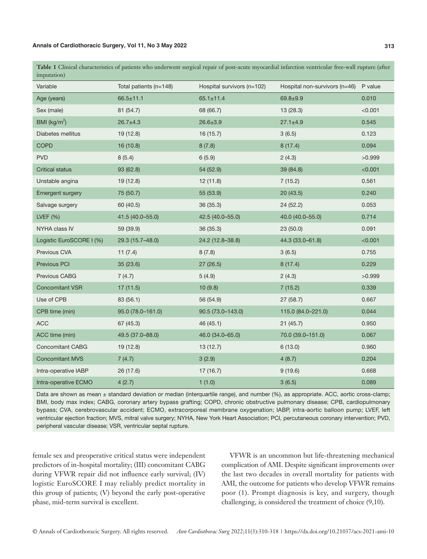**Table 1** Clinical characteristics of patients who underwent surgical repair of post-acute myocardial infarction ventricular free-wall rupture (after imputation)

| 1111putation <i>y</i>    |                        |                            |                               |         |
|--------------------------|------------------------|----------------------------|-------------------------------|---------|
| Variable                 | Total patients (n=148) | Hospital survivors (n=102) | Hospital non-survivors (n=46) | P value |
| Age (years)              | $66.5 \pm 11.1$        | $65.1 \pm 11.4$            | $69.8 + 9.9$                  | 0.010   |
| Sex (male)               | 81 (54.7)              | 68 (66.7)                  | 13(28.3)                      | < 0.001 |
| BMI $(kg/m2)$            | $26.7 \pm 4.3$         | $26.6 \pm 3.9$             | $27.1 \pm 4.9$                | 0.545   |
| Diabetes mellitus        | 19(12.8)               | 16 (15.7)                  | 3(6.5)                        | 0.123   |
| <b>COPD</b>              | 16 (10.8)              | 8(7.8)                     | 8(17.4)                       | 0.094   |
| <b>PVD</b>               | 8(5.4)                 | 6(5.9)                     | 2(4.3)                        | >0.999  |
| <b>Critical status</b>   | 93(62.8)               | 54 (52.9)                  | 39 (84.8)                     | < 0.001 |
| Unstable angina          | 19(12.8)               | 12(11.8)                   | 7(15.2)                       | 0.561   |
| <b>Emergent surgery</b>  | 75 (50.7)              | 55 (53.9)                  | 20(43.5)                      | 0.240   |
| Salvage surgery          | 60 (40.5)              | 36 (35.3)                  | 24(52.2)                      | 0.053   |
| LVEF $(%)$               | 41.5 (40.0-55.0)       | 42.5 (40.0-55.0)           | 40.0 (40.0-55.0)              | 0.714   |
| NYHA class IV            | 59 (39.9)              | 36 (35.3)                  | 23(50.0)                      | 0.091   |
| Logistic EuroSCORE I (%) | 29.3 (15.7-48.0)       | 24.2 (12.8-38.8)           | 44.3 (33.0-61.8)              | < 0.001 |
| Previous CVA             | 11(7.4)                | 8(7.8)                     | 3(6.5)                        | 0.755   |
| Previous PCI             | 35(23.6)               | 27(26.5)                   | 8(17.4)                       | 0.229   |
| Previous CABG            | 7(4.7)                 | 5(4.9)                     | 2(4.3)                        | >0.999  |
| <b>Concomitant VSR</b>   | 17(11.5)               | 10(9.8)                    | 7(15.2)                       | 0.339   |
| Use of CPB               | 83 (56.1)              | 56 (54.9)                  | 27 (58.7)                     | 0.667   |
| CPB time (min)           | 95.0 (78.0-161.0)      | 90.5 (73.0-143.0)          | 115.0 (84.0-221.0)            | 0.044   |
| <b>ACC</b>               | 67 (45.3)              | 46(45.1)                   | 21(45.7)                      | 0.950   |
| ACC time (min)           | 49.5 (37.0-88.0)       | 46.0 (34.0-65.0)           | 70.0 (39.0-151.0)             | 0.067   |
| <b>Concomitant CABG</b>  | 19(12.8)               | 13(12.7)                   | 6(13.0)                       | 0.960   |
| <b>Concomitant MVS</b>   | 7(4.7)                 | 3(2.9)                     | 4(8.7)                        | 0.204   |
| Intra-operative IABP     | 26(17.6)               | 17(16.7)                   | 9(19.6)                       | 0.668   |
| Intra-operative ECMO     | 4(2.7)                 | 1(1.0)                     | 3(6.5)                        | 0.089   |
|                          |                        |                            |                               |         |

Data are shown as mean ± standard deviation or median (interquartile range), and number (%), as appropriate. ACC, aortic cross-clamp; BMI, body max index; CABG, coronary artery bypass grafting; COPD, chronic obstructive pulmonary disease; CPB, cardiopulmonary bypass; CVA, cerebrovascular accident; ECMO, extracorporeal membrane oxygenation; IABP, intra-aortic balloon pump; LVEF, left ventricular ejection fraction; MVS, mitral valve surgery; NYHA, New York Heart Association; PCI, percutaneous coronary intervention; PVD, peripheral vascular disease; VSR, ventricular septal rupture.

female sex and preoperative critical status were independent predictors of in-hospital mortality; (III) concomitant CABG during VFWR repair did not influence early survival; (IV) logistic EuroSCORE I may reliably predict mortality in this group of patients; (V) beyond the early post-operative phase, mid-term survival is excellent.

VFWR is an uncommon but life-threatening mechanical complication of AMI. Despite significant improvements over the last two decades in overall mortality for patients with AMI, the outcome for patients who develop VFWR remains poor (1). Prompt diagnosis is key, and surgery, though challenging, is considered the treatment of choice (9,10).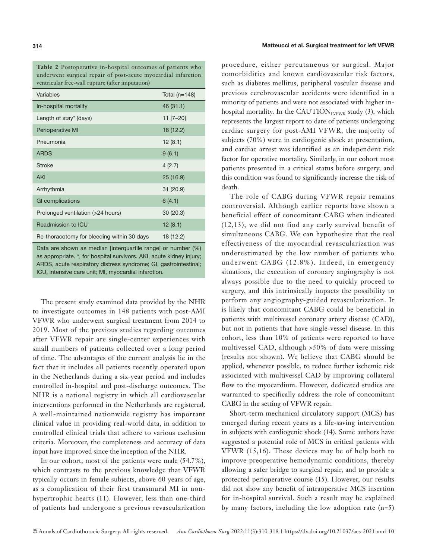**Table 2** Postoperative in-hospital outcomes of patients who underwent surgical repair of post-acute myocardial infarction ventricular free-wall rupture (after imputation)

| Variables                                  | Total $(n=148)$ |
|--------------------------------------------|-----------------|
| In-hospital mortality                      | 46(31.1)        |
| Length of stay* (days)                     | $11$ [7-20]     |
| Perioperative MI                           | 18 (12.2)       |
| Pneumonia                                  | 12(8.1)         |
| <b>ARDS</b>                                | 9(6.1)          |
| <b>Stroke</b>                              | 4(2.7)          |
| AKI                                        | 25(16.9)        |
| Arrhythmia                                 | 31(20.9)        |
| GI complications                           | 6(4.1)          |
| Prolonged ventilation (>24 hours)          | 30(20.3)        |
| Readmission to ICU                         | 12(8.1)         |
| Re-thoracotomy for bleeding within 30 days | 18 (12.2)       |

Data are shown as median [interquartile range] or number (%) as appropriate. \*, for hospital survivors. AKI, acute kidney injury; ARDS, acute respiratory distress syndrome; GI, gastrointestinal; ICU, intensive care unit; MI, myocardial infarction.

The present study examined data provided by the NHR to investigate outcomes in 148 patients with post-AMI VFWR who underwent surgical treatment from 2014 to 2019. Most of the previous studies regarding outcomes after VFWR repair are single-center experiences with small numbers of patients collected over a long period of time. The advantages of the current analysis lie in the fact that it includes all patients recently operated upon in the Netherlands during a six-year period and includes controlled in-hospital and post-discharge outcomes. The NHR is a national registry in which all cardiovascular interventions performed in the Netherlands are registered. A well-maintained nationwide registry has important clinical value in providing real-world data, in addition to controlled clinical trials that adhere to various exclusion criteria. Moreover, the completeness and accuracy of data input have improved since the inception of the NHR.

In our cohort, most of the patients were male (54.7%), which contrasts to the previous knowledge that VFWR typically occurs in female subjects, above 60 years of age, as a complication of their first transmural MI in nonhypertrophic hearts (11). However, less than one-third of patients had undergone a previous revascularization

procedure, either percutaneous or surgical. Major comorbidities and known cardiovascular risk factors, such as diabetes mellitus, peripheral vascular disease and previous cerebrovascular accidents were identified in a minority of patients and were not associated with higher inhospital mortality. In the CAUTION<sub>LVFWR</sub> study  $(3)$ , which represents the largest report to date of patients undergoing cardiac surgery for post-AMI VFWR, the majority of subjects (70%) were in cardiogenic shock at presentation, and cardiac arrest was identified as an independent risk factor for operative mortality. Similarly, in our cohort most patients presented in a critical status before surgery, and this condition was found to significantly increase the risk of death.

The role of CABG during VFWR repair remains controversial. Although earlier reports have shown a beneficial effect of concomitant CABG when indicated (12,13), we did not find any early survival benefit of simultaneous CABG. We can hypothesize that the real effectiveness of the myocardial revascularization was underestimated by the low number of patients who underwent CABG (12.8%). Indeed, in emergency situations, the execution of coronary angiography is not always possible due to the need to quickly proceed to surgery, and this intrinsically impacts the possibility to perform any angiography-guided revascularization. It is likely that concomitant CABG could be beneficial in patients with multivessel coronary artery disease (CAD), but not in patients that have single-vessel disease. In this cohort, less than 10% of patients were reported to have multivessel CAD, although >50% of data were missing (results not shown). We believe that CABG should be applied, whenever possible, to reduce further ischemic risk associated with multivessel CAD by improving collateral flow to the myocardium. However, dedicated studies are warranted to specifically address the role of concomitant CABG in the setting of VFWR repair.

Short-term mechanical circulatory support (MCS) has emerged during recent years as a life-saving intervention in subjects with cardiogenic shock (14). Some authors have suggested a potential role of MCS in critical patients with VFWR (15,16). These devices may be of help both to improve preoperative hemodynamic conditions, thereby allowing a safer bridge to surgical repair, and to provide a protected perioperative course (15). However, our results did not show any benefit of intraoperative MCS insertion for in-hospital survival. Such a result may be explained by many factors, including the low adoption rate (n=5)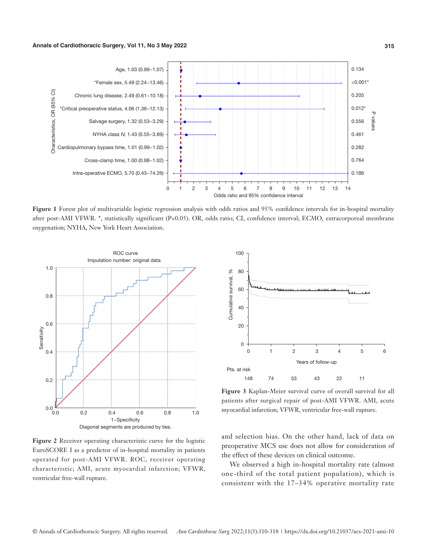

**Figure 1** Forest plot of multivariable logistic regression analysis with odds ratios and 95% confidence intervals for in-hospital mortality after post-AMI VFWR. \*, statistically significant (P<0.05). OR, odds ratio; CI, confidence interval; ECMO, extracorporeal membrane oxygenation; NYHA, New York Heart Association.



**Figure 2** Receiver operating characteristic curve for the logistic EuroSCORE I as a predictor of in-hospital mortality in patients operated for post-AMI VFWR. ROC, receiver operating characteristic; AMI, acute myocardial infarction; VFWR, ventricular free-wall rupture.



**Figure 3** Kaplan-Meier survival curve of overall survival for all patients after surgical repair of post-AMI VFWR. AMI, acute myocardial infarction; VFWR, ventricular free-wall rupture.

and selection bias. On the other hand, lack of data on preoperative MCS use does not allow for consideration of the effect of these devices on clinical outcome.

We observed a high in-hospital mortality rate (almost one-third of the total patient population), which is consistent with the 17–34% operative mortality rate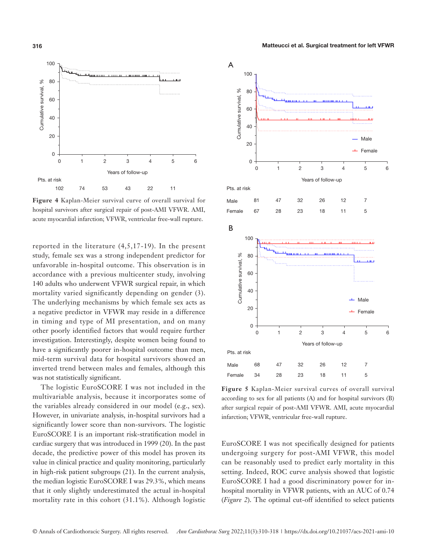

**Figure 4** Kaplan-Meier survival curve of overall survival for hospital survivors after surgical repair of post-AMI VFWR. AMI, acute myocardial infarction; VFWR, ventricular free-wall rupture.

reported in the literature (4,5,17-19). In the present study, female sex was a strong independent predictor for unfavorable in-hospital outcome. This observation is in accordance with a previous multicenter study, involving 140 adults who underwent VFWR surgical repair, in which mortality varied significantly depending on gender (3). The underlying mechanisms by which female sex acts as a negative predictor in VFWR may reside in a difference in timing and type of MI presentation, and on many other poorly identified factors that would require further investigation. Interestingly, despite women being found to have a significantly poorer in-hospital outcome than men, mid-term survival data for hospital survivors showed an inverted trend between males and females, although this was not statistically significant.

The logistic EuroSCORE I was not included in the multivariable analysis, because it incorporates some of the variables already considered in our model (e.g., sex). However, in univariate analysis, in-hospital survivors had a significantly lower score than non-survivors. The logistic EuroSCORE I is an important risk-stratification model in cardiac surgery that was introduced in 1999 (20). In the past decade, the predictive power of this model has proven its value in clinical practice and quality monitoring, particularly in high-risk patient subgroups (21). In the current analysis, the median logistic EuroSCORE I was 29.3%, which means that it only slightly underestimated the actual in-hospital mortality rate in this cohort (31.1%). Although logistic

## **316** Matteucci et al. Surgical treatment for left VFWR



**Figure 5** Kaplan-Meier survival curves of overall survival according to sex for all patients (A) and for hospital survivors (B) after surgical repair of post-AMI VFWR. AMI, acute myocardial infarction; VFWR, ventricular free-wall rupture.

EuroSCORE I was not specifically designed for patients undergoing surgery for post-AMI VFWR, this model can be reasonably used to predict early mortality in this setting. Indeed, ROC curve analysis showed that logistic EuroSCORE I had a good discriminatory power for inhospital mortality in VFWR patients, with an AUC of 0.74 (*Figure 2*). The optimal cut-off identified to select patients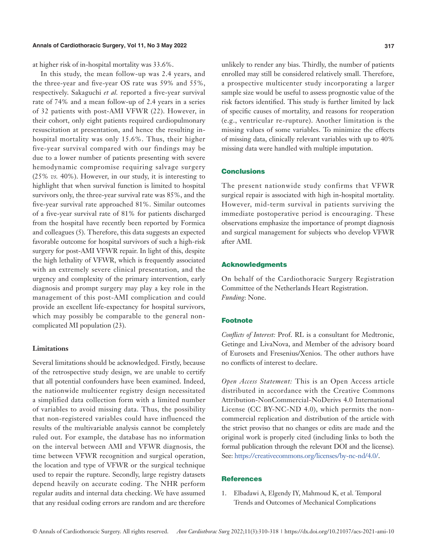at higher risk of in-hospital mortality was 33.6%.

In this study, the mean follow-up was 2.4 years, and the three-year and five-year OS rate was 59% and 55%, respectively. Sakaguchi *et al.* reported a five-year survival rate of 74% and a mean follow-up of 2.4 years in a series of 32 patients with post-AMI VFWR (22). However, in their cohort, only eight patients required cardiopulmonary resuscitation at presentation, and hence the resulting inhospital mortality was only 15.6%. Thus, their higher five-year survival compared with our findings may be due to a lower number of patients presenting with severe hemodynamic compromise requiring salvage surgery (25% *vs.* 40%). However, in our study, it is interesting to highlight that when survival function is limited to hospital survivors only, the three-year survival rate was 85%, and the five-year survival rate approached 81%. Similar outcomes of a five-year survival rate of 81% for patients discharged from the hospital have recently been reported by Formica and colleagues (5). Therefore, this data suggests an expected favorable outcome for hospital survivors of such a high-risk surgery for post-AMI VFWR repair. In light of this, despite the high lethality of VFWR, which is frequently associated with an extremely severe clinical presentation, and the urgency and complexity of the primary intervention, early diagnosis and prompt surgery may play a key role in the management of this post-AMI complication and could provide an excellent life-expectancy for hospital survivors, which may possibly be comparable to the general noncomplicated MI population (23).

#### **Limitations**

Several limitations should be acknowledged. Firstly, because of the retrospective study design, we are unable to certify that all potential confounders have been examined. Indeed, the nationwide multicenter registry design necessitated a simplified data collection form with a limited number of variables to avoid missing data. Thus, the possibility that non-registered variables could have influenced the results of the multivariable analysis cannot be completely ruled out. For example, the database has no information on the interval between AMI and VFWR diagnosis, the time between VFWR recognition and surgical operation, the location and type of VFWR or the surgical technique used to repair the rupture. Secondly, large registry datasets depend heavily on accurate coding. The NHR perform regular audits and internal data checking. We have assumed that any residual coding errors are random and are therefore

unlikely to render any bias. Thirdly, the number of patients enrolled may still be considered relatively small. Therefore, a prospective multicenter study incorporating a larger sample size would be useful to assess prognostic value of the risk factors identified. This study is further limited by lack of specific causes of mortality, and reasons for reoperation (e.g., ventricular re-rupture). Another limitation is the missing values of some variables. To minimize the effects of missing data, clinically relevant variables with up to 40% missing data were handled with multiple imputation.

#### Conclusions

The present nationwide study confirms that VFWR surgical repair is associated with high in-hospital mortality. However, mid-term survival in patients surviving the immediate postoperative period is encouraging. These observations emphasize the importance of prompt diagnosis and surgical management for subjects who develop VFWR after AMI.

#### Acknowledgments

On behalf of the Cardiothoracic Surgery Registration Committee of the Netherlands Heart Registration. *Funding*: None.

#### **Footnote**

*Conflicts of Interest:* Prof. RL is a consultant for Medtronic, Getinge and LivaNova, and Member of the advisory board of Eurosets and Fresenius/Xenios. The other authors have no conflicts of interest to declare.

*Open Access Statement:* This is an Open Access article distributed in accordance with the Creative Commons Attribution-NonCommercial-NoDerivs 4.0 International License (CC BY-NC-ND 4.0), which permits the noncommercial replication and distribution of the article with the strict proviso that no changes or edits are made and the original work is properly cited (including links to both the formal publication through the relevant DOI and the license). See: [https://creativecommons.org/licenses/by-nc-nd/4.0/.](https://creativecommons.org/licenses/by-nc-nd/4.0/)

#### **References**

1. Elbadawi A, Elgendy IY, Mahmoud K, et al. Temporal Trends and Outcomes of Mechanical Complications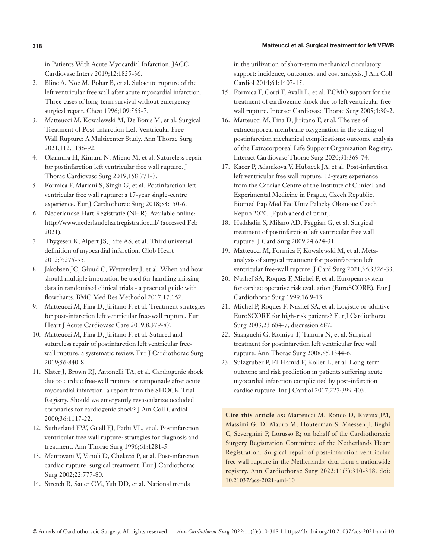#### **318** Matteucci et al. Surgical treatment for left VFWR

in Patients With Acute Myocardial Infarction. JACC Cardiovasc Interv 2019;12:1825-36.

- 2. Blinc A, Noc M, Pohar B, et al. Subacute rupture of the left ventricular free wall after acute myocardial infarction. Three cases of long-term survival without emergency surgical repair. Chest 1996;109:565-7.
- 3. Matteucci M, Kowalewski M, De Bonis M, et al. Surgical Treatment of Post-Infarction Left Ventricular Free-Wall Rupture: A Multicenter Study. Ann Thorac Surg 2021;112:1186-92.
- 4. Okamura H, Kimura N, Mieno M, et al. Sutureless repair for postinfarction left ventricular free wall rupture. J Thorac Cardiovasc Surg 2019;158:771-7.
- 5. Formica F, Mariani S, Singh G, et al. Postinfarction left ventricular free wall rupture: a 17-year single-centre experience. Eur J Cardiothorac Surg 2018;53:150-6.
- 6. Nederlandse Hart Registratie (NHR). Available online: http://www.nederlandehartregistratioe.nl/ (accessed Feb 2021).
- 7. Thygesen K, Alpert JS, Jaffe AS, et al. Third universal definition of myocardial infarction. Glob Heart 2012;7:275-95.
- 8. Jakobsen JC, Gluud C, Wetterslev J, et al. When and how should multiple imputation be used for handling missing data in randomised clinical trials - a practical guide with flowcharts. BMC Med Res Methodol 2017;17:162.
- 9. Matteucci M, Fina D, Jiritano F, et al. Treatment strategies for post-infarction left ventricular free-wall rupture. Eur Heart J Acute Cardiovasc Care 2019;8:379-87.
- 10. Matteucci M, Fina D, Jiritano F, et al. Sutured and sutureless repair of postinfarction left ventricular freewall rupture: a systematic review. Eur J Cardiothorac Surg 2019;56:840-8.
- 11. Slater J, Brown RJ, Antonelli TA, et al. Cardiogenic shock due to cardiac free-wall rupture or tamponade after acute myocardial infarction: a report from the SHOCK Trial Registry. Should we emergently revascularize occluded coronaries for cardiogenic shock? J Am Coll Cardiol 2000;36:1117-22.
- 12. Sutherland FW, Guell FJ, Pathi VL, et al. Postinfarction ventricular free wall rupture: strategies for diagnosis and treatment. Ann Thorac Surg 1996;61:1281-5.
- 13. Mantovani V, Vanoli D, Chelazzi P, et al. Post-infarction cardiac rupture: surgical treatment. Eur J Cardiothorac Surg 2002;22:777-80.
- 14. Stretch R, Sauer CM, Yuh DD, et al. National trends

in the utilization of short-term mechanical circulatory support: incidence, outcomes, and cost analysis. J Am Coll Cardiol 2014;64:1407-15.

- 15. Formica F, Corti F, Avalli L, et al. ECMO support for the treatment of cardiogenic shock due to left ventricular free wall rupture. Interact Cardiovasc Thorac Surg 2005;4:30-2.
- 16. Matteucci M, Fina D, Jiritano F, et al. The use of extracorporeal membrane oxygenation in the setting of postinfarction mechanical complications: outcome analysis of the Extracorporeal Life Support Organization Registry. Interact Cardiovasc Thorac Surg 2020;31:369-74.
- 17. Kacer P, Adamkova V, Hubacek JA, et al. Post-infarction left ventricular free wall rupture: 12-years experience from the Cardiac Centre of the Institute of Clinical and Experimental Medicine in Prague, Czech Republic. Biomed Pap Med Fac Univ Palacky Olomouc Czech Repub 2020. [Epub ahead of print].
- 18. Haddadin S, Milano AD, Faggian G, et al. Surgical treatment of postinfarction left ventricular free wall rupture. J Card Surg 2009;24:624-31.
- 19. Matteucci M, Formica F, Kowalewski M, et al. Metaanalysis of surgical treatment for postinfarction left ventricular free-wall rupture. J Card Surg 2021;36:3326-33.
- 20. Nashef SA, Roques F, Michel P, et al. European system for cardiac operative risk evaluation (EuroSCORE). Eur J Cardiothorac Surg 1999;16:9-13.
- 21. Michel P, Roques F, Nashef SA, et al. Logistic or additive EuroSCORE for high-risk patients? Eur J Cardiothorac Surg 2003;23:684-7; discussion 687.
- 22. Sakaguchi G, Komiya T, Tamura N, et al. Surgical treatment for postinfarction left ventricular free wall rupture. Ann Thorac Surg 2008;85:1344-6.
- 23. Sulzgruber P, El-Hamid F, Koller L, et al. Long-term outcome and risk prediction in patients suffering acute myocardial infarction complicated by post-infarction cardiac rupture. Int J Cardiol 2017;227:399-403.

**Cite this article as:** Matteucci M, Ronco D, Ravaux JM, Massimi G, Di Mauro M, Houterman S, Maessen J, Beghi C, Severgnini P, Lorusso R; on behalf of the Cardiothoracic Surgery Registration Committee of the Netherlands Heart Registration. Surgical repair of post-infarction ventricular free-wall rupture in the Netherlands: data from a nationwide registry. Ann Cardiothorac Surg 2022;11(3):310-318. doi: 10.21037/acs-2021-ami-10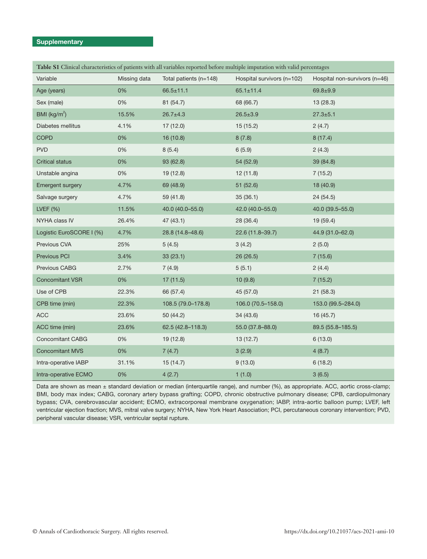### **Supplementary**

| Table S1 Clinical characteristics of patients with all variables reported before multiple imputation with valid percentages |              |                        |                            |                               |  |
|-----------------------------------------------------------------------------------------------------------------------------|--------------|------------------------|----------------------------|-------------------------------|--|
| Variable                                                                                                                    | Missing data | Total patients (n=148) | Hospital survivors (n=102) | Hospital non-survivors (n=46) |  |
| Age (years)                                                                                                                 | 0%           | $66.5 \pm 11.1$        | $65.1 \pm 11.4$            | $69.8 + 9.9$                  |  |
| Sex (male)                                                                                                                  | 0%           | 81 (54.7)              | 68 (66.7)                  | 13(28.3)                      |  |
| BMI ( $\text{kg/m}^2$ )                                                                                                     | 15.5%        | $26.7 \pm 4.3$         | $26.5 \pm 3.9$             | $27.3 \pm 5.1$                |  |
| Diabetes mellitus                                                                                                           | 4.1%         | 17(12.0)               | 15(15.2)                   | 2(4.7)                        |  |
| <b>COPD</b>                                                                                                                 | 0%           | 16(10.8)               | 8(7.8)                     | 8(17.4)                       |  |
| <b>PVD</b>                                                                                                                  | 0%           | 8(5.4)                 | 6(5.9)                     | 2(4.3)                        |  |
| <b>Critical status</b>                                                                                                      | 0%           | 93 (62.8)              | 54 (52.9)                  | 39 (84.8)                     |  |
| Unstable angina                                                                                                             | 0%           | 19(12.8)               | 12(11.8)                   | 7(15.2)                       |  |
| Emergent surgery                                                                                                            | 4.7%         | 69 (48.9)              | 51(52.6)                   | 18 (40.9)                     |  |
| Salvage surgery                                                                                                             | 4.7%         | 59 (41.8)              | 35(36.1)                   | 24(54.5)                      |  |
| LVEF $(%)$                                                                                                                  | 11.5%        | 40.0 (40.0-55.0)       | 42.0 (40.0-55.0)           | 40.0 (39.5-55.0)              |  |
| NYHA class IV                                                                                                               | 26.4%        | 47(43.1)               | 28 (36.4)                  | 19 (59.4)                     |  |
| Logistic EuroSCORE I (%)                                                                                                    | 4.7%         | 28.8 (14.8-48.6)       | 22.6 (11.8-39.7)           | 44.9 (31.0-62.0)              |  |
| Previous CVA                                                                                                                | 25%          | 5(4.5)                 | 3(4.2)                     | 2(5.0)                        |  |
| Previous PCI                                                                                                                | 3.4%         | 33(23.1)               | 26 (26.5)                  | 7(15.6)                       |  |
| Previous CABG                                                                                                               | 2.7%         | 7(4.9)                 | 5(5.1)                     | 2(4.4)                        |  |
| <b>Concomitant VSR</b>                                                                                                      | 0%           | 17(11.5)               | 10(9.8)                    | 7(15.2)                       |  |
| Use of CPB                                                                                                                  | 22.3%        | 66 (57.4)              | 45 (57.0)                  | 21(58.3)                      |  |
| CPB time (min)                                                                                                              | 22.3%        | 108.5 (79.0-178.8)     | 106.0 (70.5-158.0)         | 153.0 (99.5-284.0)            |  |
| <b>ACC</b>                                                                                                                  | 23.6%        | 50 (44.2)              | 34 (43.6)                  | 16(45.7)                      |  |
| ACC time (min)                                                                                                              | 23.6%        | 62.5 (42.8-118.3)      | 55.0 (37.8-88.0)           | 89.5 (55.8-185.5)             |  |
| <b>Concomitant CABG</b>                                                                                                     | 0%           | 19(12.8)               | 13(12.7)                   | 6(13.0)                       |  |
| <b>Concomitant MVS</b>                                                                                                      | 0%           | 7(4.7)                 | 3(2.9)                     | 4(8.7)                        |  |
| Intra-operative IABP                                                                                                        | 31.1%        | 15(14.7)               | 9(13.0)                    | 6(18.2)                       |  |
| Intra-operative ECMO                                                                                                        | 0%           | 4(2.7)                 | 1(1.0)                     | 3(6.5)                        |  |

Data are shown as mean ± standard deviation or median (interquartile range), and number (%), as appropriate. ACC, aortic cross-clamp; BMI, body max index; CABG, coronary artery bypass grafting; COPD, chronic obstructive pulmonary disease; CPB, cardiopulmonary bypass; CVA, cerebrovascular accident; ECMO, extracorporeal membrane oxygenation; IABP, intra-aortic balloon pump; LVEF, left ventricular ejection fraction; MVS, mitral valve surgery; NYHA, New York Heart Association; PCI, percutaneous coronary intervention; PVD, peripheral vascular disease; VSR, ventricular septal rupture.